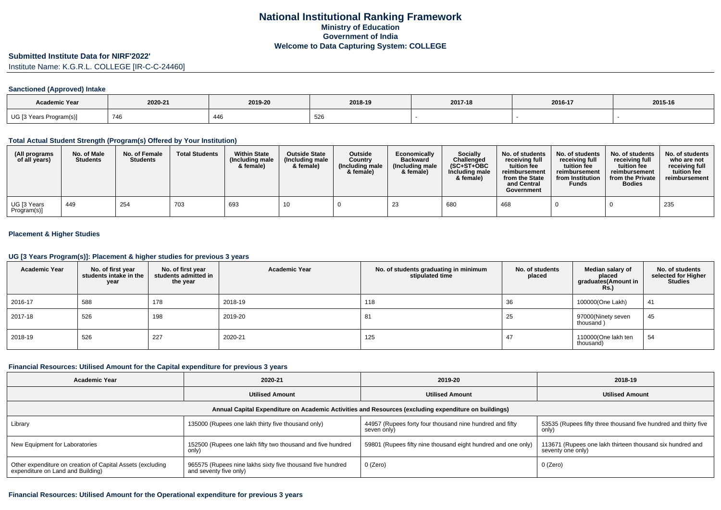### **Submitted Institute Data for NIRF'2022'**

Institute Name: K.G.R.L. COLLEGE [IR-C-C-24460]

## **Sanctioned (Approved) Intake**

| <b>Academic Year</b>    |         |         |         |         |         |         |
|-------------------------|---------|---------|---------|---------|---------|---------|
|                         | 2020-21 | 2019-20 | 2018-19 | 2017-18 | 2016-17 | 2015-16 |
| UG [3 Years Program(s)] | 746     | 446     | ວ∠໐     |         |         |         |

### **Total Actual Student Strength (Program(s) Offered by Your Institution)**

| (All programs<br>of all years)          | No. of Male<br><b>Students</b> | No. of Female<br><b>Students</b> | <b>Total Students</b> | <b>Within State</b><br>(Including male<br>& female) | <b>Outside State</b><br>(Including male<br>& female) | <b>Outside</b><br>Country<br>(Including male<br>& female) | Economically<br><b>Backward</b><br>(Including male<br>& female) | <b>Socially</b><br>Challenged<br>$(SC+ST+OBC)$<br>Including male<br>& female) | No. of students<br>receiving full<br>tuition fee<br>reimbursement<br>from the State<br>and Central<br>Government | No. of students<br>receiving full<br>tuition fee<br>reimbursement<br>from Institution<br>Funds | No. of students<br>receiving full<br>tuition fee<br>reimbursement<br>from the Private<br><b>Bodies</b> | No. of students<br>who are not<br>receiving full<br>tuition fee<br>reimbursement |
|-----------------------------------------|--------------------------------|----------------------------------|-----------------------|-----------------------------------------------------|------------------------------------------------------|-----------------------------------------------------------|-----------------------------------------------------------------|-------------------------------------------------------------------------------|------------------------------------------------------------------------------------------------------------------|------------------------------------------------------------------------------------------------|--------------------------------------------------------------------------------------------------------|----------------------------------------------------------------------------------|
| <sup>l</sup> UG [3 Years<br>Program(s)] | 449                            | 254                              | 703                   | 693                                                 | 1 U                                                  |                                                           | 23                                                              | 680                                                                           | 468                                                                                                              |                                                                                                |                                                                                                        | 235                                                                              |

## **Placement & Higher Studies**

#### **UG [3 Years Program(s)]: Placement & higher studies for previous 3 years**

| <b>Academic Year</b> | No. of first year<br>students intake in the<br>year | No. of first year<br>students admitted in<br>the year | <b>Academic Year</b> | No. of students graduating in minimum<br>stipulated time | No. of students<br>placed | Median salary of<br>placed<br>graduates(Amount in<br><b>Rs.)</b> | No. of students<br>selected for Higher<br><b>Studies</b> |
|----------------------|-----------------------------------------------------|-------------------------------------------------------|----------------------|----------------------------------------------------------|---------------------------|------------------------------------------------------------------|----------------------------------------------------------|
| 2016-17              | 588                                                 | 178                                                   | 2018-19              | 118                                                      | 36                        | 100000(One Lakh)                                                 | 41                                                       |
| 2017-18              | 526                                                 | 198                                                   | 2019-20              | 81                                                       | 25                        | 97000(Ninety seven<br>thousand)                                  | 45                                                       |
| 2018-19              | 526                                                 | 227                                                   | 2020-21              | 125                                                      | 47                        | 110000(One lakh ten<br>thousand)                                 | 54                                                       |

#### **Financial Resources: Utilised Amount for the Capital expenditure for previous 3 years**

| <b>Academic Year</b>                                                                                 | 2020-21                                                                              | 2019-20                                                                 | 2018-19                                                                        |  |  |  |  |  |  |
|------------------------------------------------------------------------------------------------------|--------------------------------------------------------------------------------------|-------------------------------------------------------------------------|--------------------------------------------------------------------------------|--|--|--|--|--|--|
|                                                                                                      | <b>Utilised Amount</b>                                                               | <b>Utilised Amount</b>                                                  | <b>Utilised Amount</b>                                                         |  |  |  |  |  |  |
| Annual Capital Expenditure on Academic Activities and Resources (excluding expenditure on buildings) |                                                                                      |                                                                         |                                                                                |  |  |  |  |  |  |
| Library                                                                                              | 135000 (Rupees one lakh thirty five thousand only)                                   | 44957 (Rupees forty four thousand nine hundred and fifty<br>seven only) | 53535 (Rupees fifty three thousand five hundred and thirty five<br>only)       |  |  |  |  |  |  |
| New Equipment for Laboratories                                                                       | 152500 (Rupees one lakh fifty two thousand and five hundred<br>only)                 | 59801 (Rupees fifty nine thousand eight hundred and one only)           | 113671 (Rupees one lakh thirteen thousand six hundred and<br>seventy one only) |  |  |  |  |  |  |
| Other expenditure on creation of Capital Assets (excluding<br>expenditure on Land and Building)      | 965575 (Rupees nine lakhs sixty five thousand five hundred<br>and seventy five only) | 0 (Zero)                                                                | 0 (Zero)                                                                       |  |  |  |  |  |  |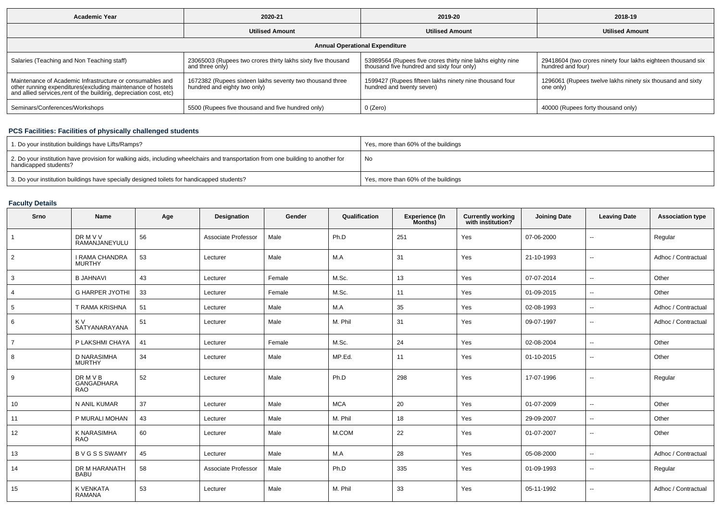| <b>Academic Year</b>                                                                                                                                                                            | 2020-21                                                                                  | 2019-20                                                                                                  | 2018-19                                                                           |  |  |  |  |  |  |
|-------------------------------------------------------------------------------------------------------------------------------------------------------------------------------------------------|------------------------------------------------------------------------------------------|----------------------------------------------------------------------------------------------------------|-----------------------------------------------------------------------------------|--|--|--|--|--|--|
|                                                                                                                                                                                                 | <b>Utilised Amount</b>                                                                   | <b>Utilised Amount</b>                                                                                   | <b>Utilised Amount</b>                                                            |  |  |  |  |  |  |
| <b>Annual Operational Expenditure</b>                                                                                                                                                           |                                                                                          |                                                                                                          |                                                                                   |  |  |  |  |  |  |
| Salaries (Teaching and Non Teaching staff)                                                                                                                                                      | 23065003 (Rupees two crores thirty lakhs sixty five thousand<br>and three only)          | 53989564 (Rupees five crores thirty nine lakhs eighty nine<br>thousand five hundred and sixty four only) | 29418604 (two crores ninety four lakhs eighteen thousand six<br>hundred and four) |  |  |  |  |  |  |
| Maintenance of Academic Infrastructure or consumables and<br>other running expenditures (excluding maintenance of hostels<br>and allied services, rent of the building, depreciation cost, etc) | 1672382 (Rupees sixteen lakhs seventy two thousand three<br>hundred and eighty two only) | 1599427 (Rupees fifteen lakhs ninety nine thousand four<br>hundred and twenty seven)                     | 1296061 (Rupees twelve lakhs ninety six thousand and sixty<br>one only)           |  |  |  |  |  |  |
| Seminars/Conferences/Workshops                                                                                                                                                                  | 5500 (Rupees five thousand and five hundred only)                                        | 0 (Zero)                                                                                                 | 40000 (Rupees forty thousand only)                                                |  |  |  |  |  |  |

# **PCS Facilities: Facilities of physically challenged students**

| 1. Do your institution buildings have Lifts/Ramps?                                                                                                         | Yes, more than 60% of the buildings |
|------------------------------------------------------------------------------------------------------------------------------------------------------------|-------------------------------------|
| 2. Do your institution have provision for walking aids, including wheelchairs and transportation from one building to another for<br>handicapped students? | No                                  |
| 3. Do your institution buildings have specially designed toilets for handicapped students?                                                                 | Yes, more than 60% of the buildings |

# **Faculty Details**

| Srno            | Name                                     | Age | <b>Designation</b>  | Gender | Qualification | <b>Experience (In</b><br>Months) | <b>Currently working</b><br>with institution? | <b>Joining Date</b> | <b>Leaving Date</b>      | <b>Association type</b> |
|-----------------|------------------------------------------|-----|---------------------|--------|---------------|----------------------------------|-----------------------------------------------|---------------------|--------------------------|-------------------------|
| $\mathbf{1}$    | <b>DRMVV</b><br>RAMANJANEYULU            | 56  | Associate Professor | Male   | Ph.D          | 251                              | Yes                                           | 07-06-2000          | --                       | Regular                 |
| $\overline{2}$  | <b>I RAMA CHANDRA</b><br><b>MURTHY</b>   | 53  | Lecturer            | Male   | M.A           | 31                               | Yes                                           | 21-10-1993          | $\overline{\phantom{a}}$ | Adhoc / Contractual     |
| 3               | <b>B JAHNAVI</b>                         | 43  | Lecturer            | Female | M.Sc.         | 13                               | Yes                                           | 07-07-2014          | --                       | Other                   |
| 4               | <b>G HARPER JYOTHI</b>                   | 33  | Lecturer            | Female | M.Sc.         | 11                               | Yes                                           | 01-09-2015          | ⊷.                       | Other                   |
| $5\phantom{.0}$ | T RAMA KRISHNA                           | 51  | Lecturer            | Male   | M.A           | 35                               | Yes                                           | 02-08-1993          | $\mathbf{u}$             | Adhoc / Contractual     |
| 6               | K V<br>SATYANARAYANA                     | 51  | Lecturer            | Male   | M. Phil       | 31                               | Yes                                           | 09-07-1997          | $\overline{\phantom{a}}$ | Adhoc / Contractual     |
| $\overline{7}$  | P LAKSHMI CHAYA                          | 41  | Lecturer            | Female | M.Sc.         | 24                               | Yes                                           | 02-08-2004          | --                       | Other                   |
| 8               | D NARASIMHA<br><b>MURTHY</b>             | 34  | Lecturer            | Male   | MP.Ed.        | 11                               | Yes                                           | 01-10-2015          | $\overline{\phantom{a}}$ | Other                   |
| 9               | <b>DRMVB</b><br>GANGADHARA<br><b>RAO</b> | 52  | Lecturer            | Male   | Ph.D          | 298                              | Yes                                           | 17-07-1996          | $\overline{\phantom{a}}$ | Regular                 |
| 10              | N ANIL KUMAR                             | 37  | Lecturer            | Male   | <b>MCA</b>    | 20                               | Yes                                           | 01-07-2009          | $\overline{\phantom{a}}$ | Other                   |
| 11              | P MURALI MOHAN                           | 43  | Lecturer            | Male   | M. Phil       | 18                               | Yes                                           | 29-09-2007          | $\sim$                   | Other                   |
| 12              | K NARASIMHA<br><b>RAO</b>                | 60  | Lecturer            | Male   | M.COM         | 22                               | Yes                                           | 01-07-2007          | $\overline{\phantom{a}}$ | Other                   |
| 13              | <b>BVGSSSWAMY</b>                        | 45  | Lecturer            | Male   | M.A           | 28                               | Yes                                           | 05-08-2000          | $\overline{\phantom{a}}$ | Adhoc / Contractual     |
| 14              | DR M HARANATH<br><b>BABU</b>             | 58  | Associate Professor | Male   | Ph.D          | 335                              | Yes                                           | 01-09-1993          | $\sim$                   | Regular                 |
| 15              | K VENKATA<br><b>RAMANA</b>               | 53  | Lecturer            | Male   | M. Phil       | 33                               | Yes                                           | 05-11-1992          | $\overline{\phantom{a}}$ | Adhoc / Contractual     |